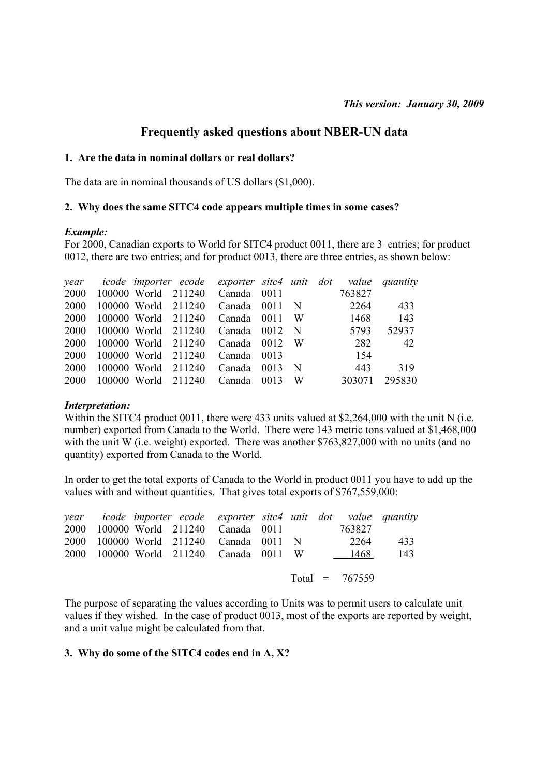## **Frequently asked questions about NBER-UN data**

## **1. Are the data in nominal dollars or real dollars?**

The data are in nominal thousands of US dollars (\$1,000).

#### **2. Why does the same SITC4 code appears multiple times in some cases?**

#### *Example:*

For 2000, Canadian exports to World for SITC4 product 0011, there are 3 entries; for product 0012, there are two entries; and for product 0013, there are three entries, as shown below:

|      |                     | year icode importer ecode exporter sitc4 unit dot value quantity |      |             |        |        |
|------|---------------------|------------------------------------------------------------------|------|-------------|--------|--------|
| 2000 |                     | 100000 World 211240 Canada 0011                                  |      |             | 763827 |        |
| 2000 | 100000 World 211240 | Canada 0011 N                                                    |      |             | 2264   | 433    |
| 2000 | 100000 World 211240 | Canada 0011                                                      |      | W –         | 1468   | 143    |
| 2000 | 100000 World 211240 | Canada 0012                                                      |      | $\mathbf N$ | 5793   | 52937  |
| 2000 | 100000 World 211240 | Canada 0012                                                      |      | - W         | 282    | 42     |
| 2000 | 100000 World 211240 | Canada 0013                                                      |      |             | 154    |        |
| 2000 | 100000 World 211240 | Canada                                                           | 0013 | $\mathbf N$ | 443    | 319    |
| 2000 | 100000 World 211240 | Canada                                                           | 0013 | W           | 303071 | 295830 |

#### *Interpretation:*

Within the SITC4 product 0011, there were 433 units valued at \$2,264,000 with the unit N (i.e. number) exported from Canada to the World. There were 143 metric tons valued at \$1,468,000 with the unit W (i.e. weight) exported. There was another \$763,827,000 with no units (and no quantity) exported from Canada to the World.

In order to get the total exports of Canada to the World in product 0011 you have to add up the values with and without quantities. That gives total exports of \$767,559,000:

|  |  | year icode importer ecode exporter sitc4 unit dot value quantity |  |                  |     |
|--|--|------------------------------------------------------------------|--|------------------|-----|
|  |  | 2000 100000 World 211240 Canada 0011                             |  | 763827           |     |
|  |  | 2000 100000 World 211240 Canada 0011 N                           |  | 2264             | 433 |
|  |  | 2000 100000 World 211240 Canada 0011 W 1468                      |  |                  | 143 |
|  |  |                                                                  |  |                  |     |
|  |  |                                                                  |  | Total = $767559$ |     |
|  |  |                                                                  |  |                  |     |

The purpose of separating the values according to Units was to permit users to calculate unit values if they wished. In the case of product 0013, most of the exports are reported by weight, and a unit value might be calculated from that.

#### **3. Why do some of the SITC4 codes end in A, X?**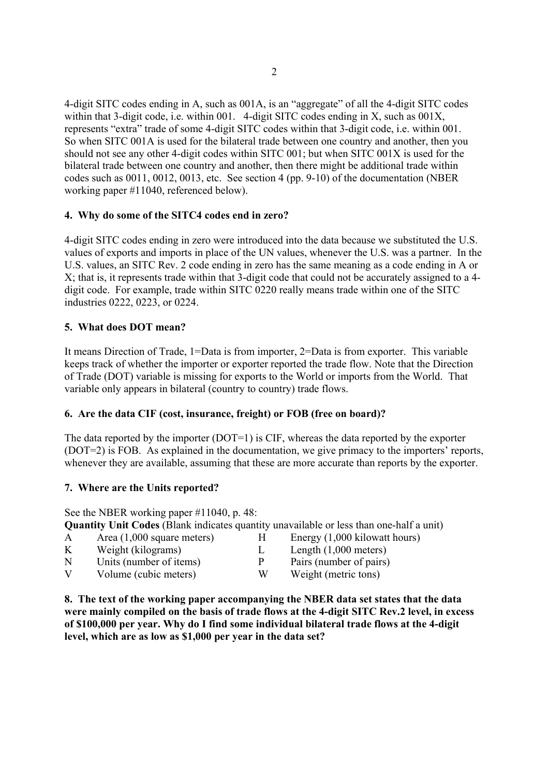4-digit SITC codes ending in A, such as 001A, is an "aggregate" of all the 4-digit SITC codes within that 3-digit code, i.e. within 001. 4-digit SITC codes ending in X, such as 001X, represents "extra" trade of some 4-digit SITC codes within that 3-digit code, i.e. within 001. So when SITC 001A is used for the bilateral trade between one country and another, then you should not see any other 4-digit codes within SITC 001; but when SITC 001X is used for the bilateral trade between one country and another, then there might be additional trade within codes such as 0011, 0012, 0013, etc. See section 4 (pp. 9-10) of the documentation (NBER working paper #11040, referenced below).

## **4. Why do some of the SITC4 codes end in zero?**

4-digit SITC codes ending in zero were introduced into the data because we substituted the U.S. values of exports and imports in place of the UN values, whenever the U.S. was a partner. In the U.S. values, an SITC Rev. 2 code ending in zero has the same meaning as a code ending in A or X; that is, it represents trade within that 3-digit code that could not be accurately assigned to a 4 digit code. For example, trade within SITC 0220 really means trade within one of the SITC industries 0222, 0223, or 0224.

## **5. What does DOT mean?**

It means Direction of Trade, 1=Data is from importer, 2=Data is from exporter. This variable keeps track of whether the importer or exporter reported the trade flow. Note that the Direction of Trade (DOT) variable is missing for exports to the World or imports from the World. That variable only appears in bilateral (country to country) trade flows.

## **6. Are the data CIF (cost, insurance, freight) or FOB (free on board)?**

The data reported by the importer (DOT=1) is CIF, whereas the data reported by the exporter (DOT=2) is FOB. As explained in the documentation, we give primacy to the importers' reports, whenever they are available, assuming that these are more accurate than reports by the exporter.

## **7. Where are the Units reported?**

See the NBER working paper #11040, p. 48: **Quantity Unit Codes** (Blank indicates quantity unavailable or less than one-half a unit)

| Energy (1,000 kilowatt hours) |
|-------------------------------|
| Length $(1,000$ meters)       |
| Pairs (number of pairs)       |
| Weight (metric tons)          |
|                               |

**8. The text of the working paper accompanying the NBER data set states that the data were mainly compiled on the basis of trade flows at the 4-digit SITC Rev.2 level, in excess of \$100,000 per year. Why do I find some individual bilateral trade flows at the 4-digit level, which are as low as \$1,000 per year in the data set?**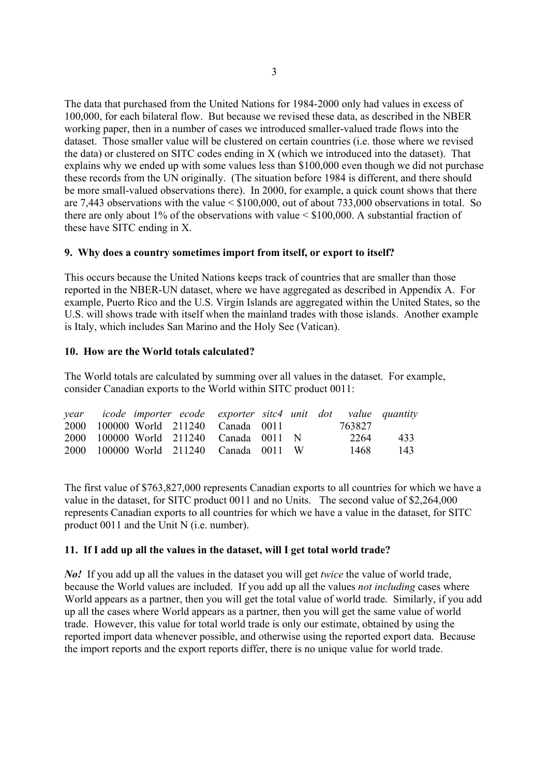The data that purchased from the United Nations for 1984-2000 only had values in excess of 100,000, for each bilateral flow. But because we revised these data, as described in the NBER working paper, then in a number of cases we introduced smaller-valued trade flows into the dataset. Those smaller value will be clustered on certain countries (i.e. those where we revised the data) or clustered on SITC codes ending in X (which we introduced into the dataset). That explains why we ended up with some values less than \$100,000 even though we did not purchase these records from the UN originally. (The situation before 1984 is different, and there should be more small-valued observations there). In 2000, for example, a quick count shows that there are 7,443 observations with the value < \$100,000, out of about 733,000 observations in total. So there are only about 1% of the observations with value  $\leq$  \$100,000. A substantial fraction of these have SITC ending in X.

## **9. Why does a country sometimes import from itself, or export to itself?**

This occurs because the United Nations keeps track of countries that are smaller than those reported in the NBER-UN dataset, where we have aggregated as described in Appendix A. For example, Puerto Rico and the U.S. Virgin Islands are aggregated within the United States, so the U.S. will shows trade with itself when the mainland trades with those islands. Another example is Italy, which includes San Marino and the Holy See (Vatican).

## **10. How are the World totals calculated?**

The World totals are calculated by summing over all values in the dataset. For example, consider Canadian exports to the World within SITC product 0011:

|  |  | year icode importer ecode exporter sitc4 unit dot value quantity |  |        |     |
|--|--|------------------------------------------------------------------|--|--------|-----|
|  |  | 2000 100000 World 211240 Canada 0011                             |  | 763827 |     |
|  |  | 2000 100000 World 211240 Canada 0011 N                           |  | 2264   | 433 |
|  |  | 2000 100000 World 211240 Canada 0011 W                           |  | 1468   | 143 |

The first value of \$763,827,000 represents Canadian exports to all countries for which we have a value in the dataset, for SITC product 0011 and no Units. The second value of \$2,264,000 represents Canadian exports to all countries for which we have a value in the dataset, for SITC product 0011 and the Unit N (i.e. number).

## **11. If I add up all the values in the dataset, will I get total world trade?**

*No!* If you add up all the values in the dataset you will get *twice* the value of world trade, because the World values are included. If you add up all the values *not including* cases where World appears as a partner, then you will get the total value of world trade. Similarly, if you add up all the cases where World appears as a partner, then you will get the same value of world trade. However, this value for total world trade is only our estimate, obtained by using the reported import data whenever possible, and otherwise using the reported export data. Because the import reports and the export reports differ, there is no unique value for world trade.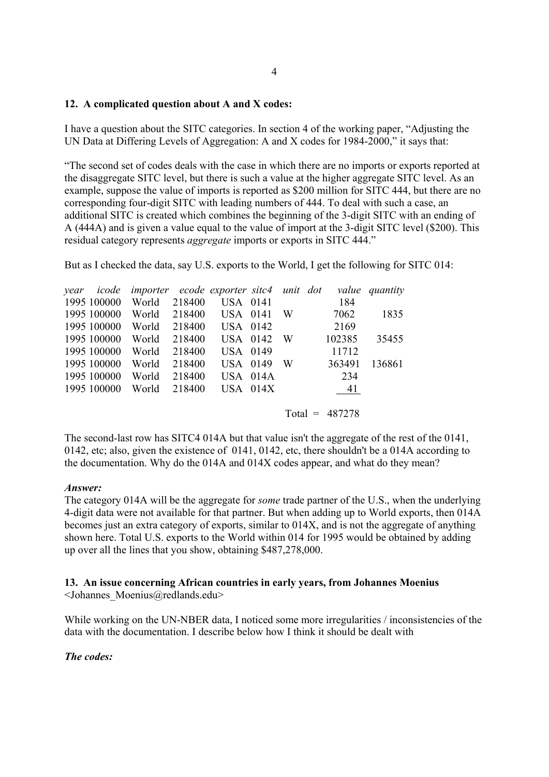## **12. A complicated question about A and X codes:**

I have a question about the SITC categories. In section 4 of the working paper, "Adjusting the UN Data at Differing Levels of Aggregation: A and X codes for 1984-2000," it says that:

"The second set of codes deals with the case in which there are no imports or exports reported at the disaggregate SITC level, but there is such a value at the higher aggregate SITC level. As an example, suppose the value of imports is reported as \$200 million for SITC 444, but there are no corresponding four-digit SITC with leading numbers of 444. To deal with such a case, an additional SITC is created which combines the beginning of the 3-digit SITC with an ending of A (444A) and is given a value equal to the value of import at the 3-digit SITC level (\$200). This residual category represents *aggregate* imports or exports in SITC 444."

But as I checked the data, say U.S. exports to the World, I get the following for SITC 014:

|             | year icode importer ecode exporter sitc4 unit dot |        |                 |   |        | value quantity |
|-------------|---------------------------------------------------|--------|-----------------|---|--------|----------------|
| 1995 100000 | World                                             | 218400 | <b>USA</b> 0141 |   | 184    |                |
| 1995 100000 | World                                             | 218400 | <b>USA</b> 0141 | W | 7062   | 1835           |
| 1995 100000 | World                                             | 218400 | USA 0142        |   | 2169   |                |
| 1995 100000 | World                                             | 218400 | USA 0142        | W | 102385 | 35455          |
| 1995 100000 | World                                             | 218400 | <b>USA 0149</b> |   | 11712  |                |
| 1995 100000 | World                                             | 218400 | <b>USA 0149</b> | W | 363491 | 136861         |
| 1995 100000 | World                                             | 218400 | <b>USA 014A</b> |   | 234    |                |
| 1995 100000 | World                                             | 218400 | $USA$ 014 $X$   |   | 41     |                |
|             |                                                   |        |                 |   |        |                |

Total =  $487278$ 

The second-last row has SITC4 014A but that value isn't the aggregate of the rest of the 0141, 0142, etc; also, given the existence of 0141, 0142, etc, there shouldn't be a 014A according to the documentation. Why do the 014A and 014X codes appear, and what do they mean?

## *Answer:*

The category 014A will be the aggregate for *some* trade partner of the U.S., when the underlying 4-digit data were not available for that partner. But when adding up to World exports, then 014A becomes just an extra category of exports, similar to 014X, and is not the aggregate of anything shown here. Total U.S. exports to the World within 014 for 1995 would be obtained by adding up over all the lines that you show, obtaining \$487,278,000.

# **13. An issue concerning African countries in early years, from Johannes Moenius**

<Johannes\_Moenius@redlands.edu>

While working on the UN-NBER data, I noticed some more irregularities / inconsistencies of the data with the documentation. I describe below how I think it should be dealt with

## *The codes:*